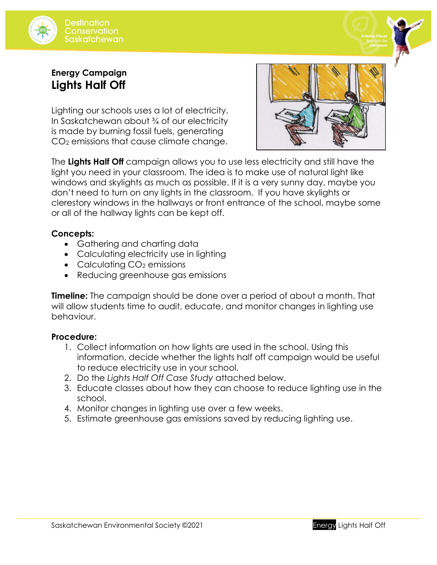



## **Energy Campaign Lights Half Off**

Lighting our schools uses a lot of electricity. In Saskatchewan about <sup>3</sup>/4 of our electricity is made by burning fossil fuels, generating CO<sup>2</sup> emissions that cause climate change.



The **Lights Half Off** campaign allows you to use less electricity and still have the light you need in your classroom. The idea is to make use of natural light like windows and skylights as much as possible. If it is a very sunny day, maybe you don't need to turn on any lights in the classroom. If you have skylights or clerestory windows in the hallways or front entrance of the school, maybe some or all of the hallway lights can be kept off.

## **Concepts:**

- Gathering and charting data
- Calculating electricity use in lighting
- Calculating CO<sub>2</sub> emissions
- Reducing greenhouse gas emissions

**Timeline:** The campaign should be done over a period of about a month. That will allow students time to audit, educate, and monitor changes in lighting use behaviour.

## **Procedure:**

- 1. Collect information on how lights are used in the school. Using this information, decide whether the lights half off campaign would be useful to reduce electricity use in your school.
- 2. Do the *Lights Half Off Case Study* attached below.
- 3. Educate classes about how they can choose to reduce lighting use in the school.
- 4. Monitor changes in lighting use over a few weeks.
- 5. Estimate greenhouse gas emissions saved by reducing lighting use.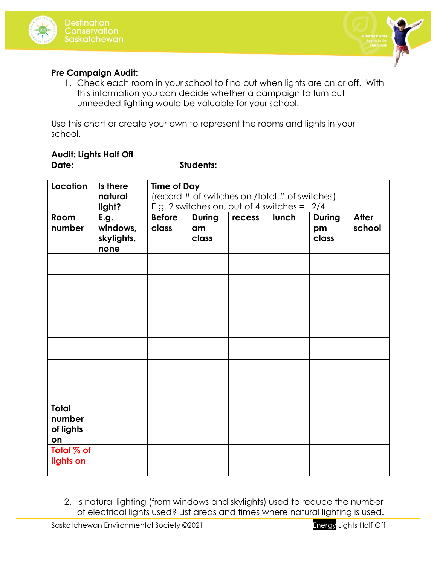



### **Pre Campaign Audit:**

1. Check each room in your school to find out when lights are on or off. With this information you can decide whether a campaign to turn out unneeded lighting would be valuable for your school.

Use this chart or create your own to represent the rooms and lights in your school.

### **Audit: Lights Half Off Date: Students:**

| Location                                  | Is there    | <b>Time of Day</b>                             |               |        |       |               |              |  |  |
|-------------------------------------------|-------------|------------------------------------------------|---------------|--------|-------|---------------|--------------|--|--|
|                                           | natural     | (record # of switches on /total # of switches) |               |        |       |               |              |  |  |
|                                           | light?      | E.g. 2 switches on, out of 4 switches = $2/4$  |               |        |       |               |              |  |  |
| Room                                      | <b>E.g.</b> | <b>Before</b>                                  | <b>During</b> | recess | lunch | <b>During</b> | <b>After</b> |  |  |
| number                                    | windows,    | class                                          | am            |        |       | pm            | school       |  |  |
|                                           | skylights,  |                                                | class         |        |       | class         |              |  |  |
|                                           | none        |                                                |               |        |       |               |              |  |  |
|                                           |             |                                                |               |        |       |               |              |  |  |
|                                           |             |                                                |               |        |       |               |              |  |  |
|                                           |             |                                                |               |        |       |               |              |  |  |
|                                           |             |                                                |               |        |       |               |              |  |  |
|                                           |             |                                                |               |        |       |               |              |  |  |
|                                           |             |                                                |               |        |       |               |              |  |  |
|                                           |             |                                                |               |        |       |               |              |  |  |
|                                           |             |                                                |               |        |       |               |              |  |  |
| <b>Total</b><br>number<br>of lights<br>on |             |                                                |               |        |       |               |              |  |  |
| Total % of<br>lights on                   |             |                                                |               |        |       |               |              |  |  |

2. Is natural lighting (from windows and skylights) used to reduce the number of electrical lights used? List areas and times where natural lighting is used.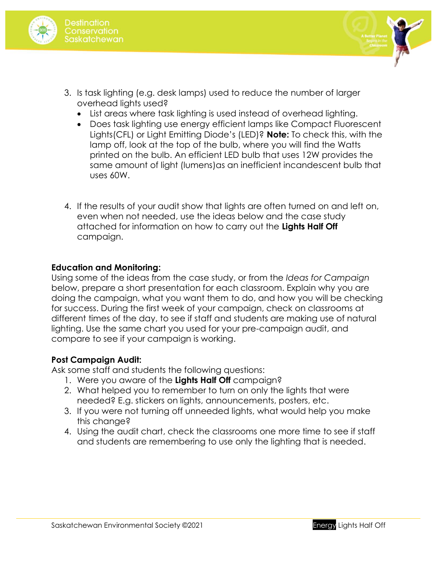



- 3. Is task lighting (e.g. desk lamps) used to reduce the number of larger overhead lights used?
	- List areas where task lighting is used instead of overhead lighting.
	- Does task lighting use energy efficient lamps like Compact Fluorescent Lights(CFL) or Light Emitting Diode's (LED)? **Note:** To check this, with the lamp off, look at the top of the bulb, where you will find the Watts printed on the bulb. An efficient LED bulb that uses 12W provides the same amount of light (lumens)as an inefficient incandescent bulb that uses 60W.
- 4. If the results of your audit show that lights are often turned on and left on, even when not needed, use the ideas below and the case study attached for information on how to carry out the **Lights Half Off** campaign.

### **Education and Monitoring:**

Using some of the ideas from the case study, or from the *Ideas for Campaign* below, prepare a short presentation for each classroom. Explain why you are doing the campaign, what you want them to do, and how you will be checking for success. During the first week of your campaign, check on classrooms at different times of the day, to see if staff and students are making use of natural lighting. Use the same chart you used for your pre-campaign audit, and compare to see if your campaign is working.

## **Post Campaign Audit:**

Ask some staff and students the following questions:

- 1. Were you aware of the **Lights Half Off** campaign?
- 2. What helped you to remember to turn on only the lights that were needed? E.g. stickers on lights, announcements, posters, etc.
- 3. If you were not turning off unneeded lights, what would help you make this change?
- 4. Using the audit chart, check the classrooms one more time to see if staff and students are remembering to use only the lighting that is needed.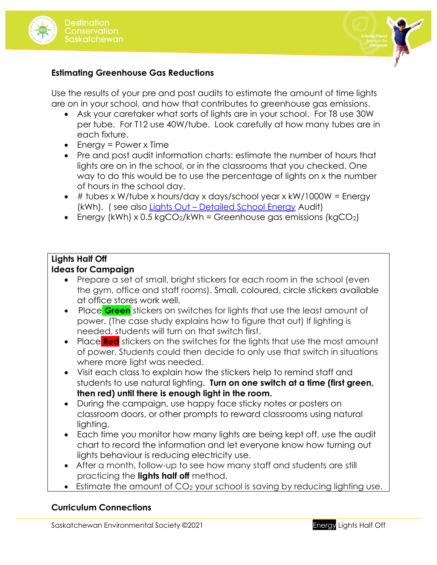



### **Estimating Greenhouse Gas Reductions**

Use the results of your pre and post audits to estimate the amount of time lights are on in your school, and how that contributes to greenhouse gas emissions.

- Ask your caretaker what sorts of lights are in your school. For T8 use 30W per tube. For T12 use 40W/tube. Look carefully at how many tubes are in each fixture.
- Energy = Power x Time
- Pre and post audit information charts: estimate the number of hours that lights are on in the school, or in the classrooms that you checked. One way to do this would be to use the percentage of lights on x the number of hours in the school day.
- $\bullet$  # tubes x W/tube x hours/day x days/school year x kW/1000W = Energy (kWh). ( see also Lights Out – [Detailed School Energy](http://environmentalsociety.ca/wp-content/uploads/2015/07/Lights-Out-Detailed-School-Energy-Audit.pdf) Audit)
- Energy (kWh) x 0.5 kgCO<sub>2</sub>/kWh = Greenhouse gas emissions (kgCO<sub>2</sub>)

# **Lights Half Off**

### **Ideas for Campaign**

- Prepare a set of small, bright stickers for each room in the school (even the gym, office and staff rooms). Small, coloured, circle stickers available at office stores work well.
- Place **Green** stickers on switches for lights that use the least amount of power. (The case study explains how to figure that out) If lighting is needed, students will turn on that switch first.
- Place **Red** stickers on the switches for the lights that use the most amount of power. Students could then decide to only use that switch in situations where more light was needed.
- Visit each class to explain how the stickers help to remind staff and students to use natural lighting. **Turn on one switch at a time (first green, then red) until there is enough light in the room.**
- During the campaign, use happy face sticky notes or posters on classroom doors, or other prompts to reward classrooms using natural lighting.
- Each time you monitor how many lights are being kept off, use the audit chart to record the information and let everyone know how turning out lights behaviour is reducing electricity use.
- After a month, follow-up to see how many staff and students are still practicing the **lights half off** method.
- Estimate the amount of CO<sub>2</sub> your school is saving by reducing lighting use.

## **Curriculum Connections**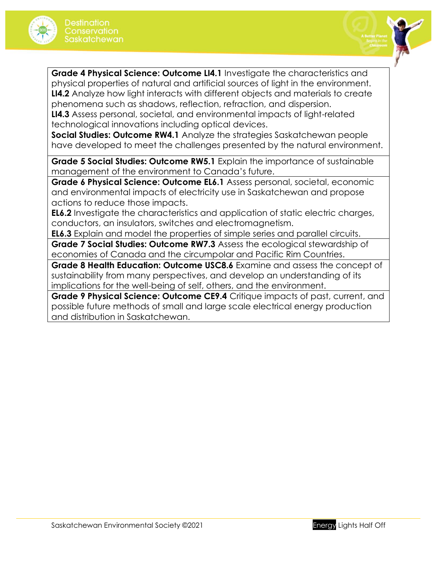



**Grade 4 Physical Science: Outcome LI4.1** Investigate the characteristics and physical properties of natural and artificial sources of light in the environment. **LI4.2** Analyze how light interacts with different objects and materials to create phenomena such as shadows, reflection, refraction, and dispersion. **LI4.3** Assess personal, societal, and environmental impacts of light-related technological innovations including optical devices.

**Social Studies: Outcome RW4.1** Analyze the strategies Saskatchewan people have developed to meet the challenges presented by the natural environment.

**Grade 5 Social Studies: Outcome RW5.1** Explain the importance of sustainable management of the environment to Canada's future.

**Grade 6 Physical Science: Outcome EL6.1** Assess personal, societal, economic and environmental impacts of electricity use in Saskatchewan and propose actions to reduce those impacts.

**EL6.2** Investigate the characteristics and application of static electric charges, conductors, an insulators, switches and electromagnetism.

**EL6.3** Explain and model the properties of simple series and parallel circuits.

**Grade 7 Social Studies: Outcome RW7.3** Assess the ecological stewardship of economies of Canada and the circumpolar and Pacific Rim Countries.

**Grade 8 Health Education: Outcome USC8.6** Examine and assess the concept of sustainability from many perspectives, and develop an understanding of its implications for the well-being of self, others, and the environment.

**Grade 9 Physical Science: Outcome CE9.4** Critique impacts of past, current, and possible future methods of small and large scale electrical energy production and distribution in Saskatchewan.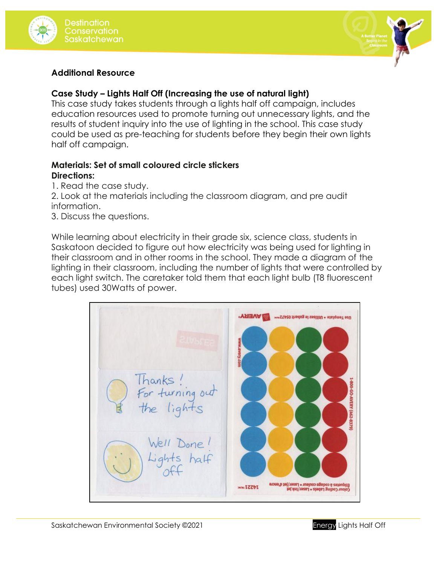



### **Additional Resource**

## **Case Study – Lights Half Off (Increasing the use of natural light)**

This case study takes students through a lights half off campaign, includes education resources used to promote turning out unnecessary lights, and the results of student inquiry into the use of lighting in the school. This case study could be used as pre-teaching for students before they begin their own lights half off campaign.

### **Materials: Set of small coloured circle stickers Directions:**

1. Read the case study.

2. Look at the materials including the classroom diagram, and pre audit information.

3. Discuss the questions.

While learning about electricity in their grade six, science class, students in Saskatoon decided to figure out how electricity was being used for lighting in their classroom and in other rooms in the school. They made a diagram of the lighting in their classroom, including the number of lights that were controlled by each light switch. The caretaker told them that each light bulb (T8 fluorescent tubes) used 30Watts of power.

**I AVERY** Use Template . Utilisez le gabarit 05472mm hanks 800-60-AVERY (462 turning out lights 837 Well Done! Lights half ctiquetes à codage couleur « Laser/jet d'encre<br>Colour Coding Labels « Laser/ink jet www.IZZbI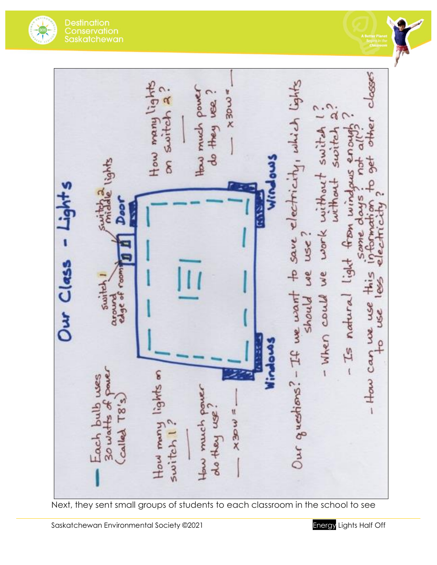**Destination** Conservation<br>Saskatchewan



to save electricity, which lights How many lights  $×3000$ How much power switch 2 do they use d ner work without switch without switch  $\delta$ Smo mind Š - Is natural light from use Our Class we we - How can we use this COD switch  $185$ around Our guestions? - If we want - When could should use ę Mindow How many lights on Each bulb wes How much power  $78's$ **xackx** do they use  $switch1?$ Called

Next, they sent small groups of students to each classroom in the school to see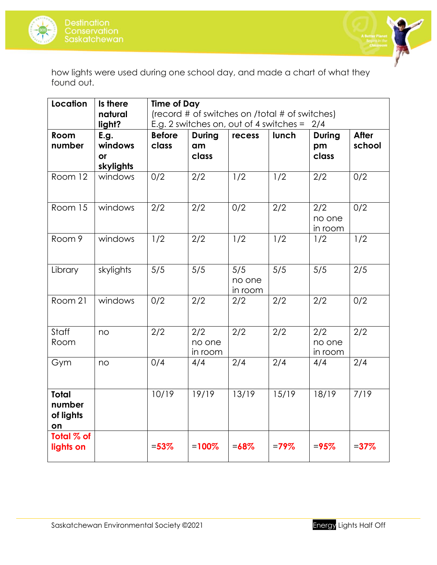



how lights were used during one school day, and made a chart of what they found out.

| Location                                  | Is there    | <b>Time of Day</b>                               |               |          |         |               |              |  |
|-------------------------------------------|-------------|--------------------------------------------------|---------------|----------|---------|---------------|--------------|--|
|                                           | natural     | (record # of switches on /total # of switches)   |               |          |         |               |              |  |
|                                           | light?      | E.g. 2 switches on, out of 4 switches $=$<br>2/4 |               |          |         |               |              |  |
| <b>Room</b>                               | <b>E.g.</b> | <b>Before</b>                                    | <b>During</b> | recess   | lunch   | <b>During</b> | <b>After</b> |  |
| number                                    | windows     | class                                            | am            |          |         | pm            | school       |  |
|                                           | or          |                                                  | class         |          |         | class         |              |  |
|                                           | skylights   |                                                  |               |          |         |               |              |  |
| Room 12                                   | windows     | 0/2                                              | 2/2           | 1/2      | 1/2     | 2/2           | 0/2          |  |
| Room 15                                   | windows     | 2/2                                              | 2/2           | 0/2      | 2/2     | 2/2           | 0/2          |  |
|                                           |             |                                                  |               |          |         | no one        |              |  |
|                                           |             |                                                  |               |          |         | in room       |              |  |
| Room 9                                    | windows     | 1/2                                              | 2/2           | 1/2      | 1/2     | 1/2           | 1/2          |  |
|                                           |             |                                                  |               |          |         |               |              |  |
| Library                                   | skylights   | 5/5                                              | 5/5           | 5/5      | 5/5     | 5/5           | 2/5          |  |
|                                           |             |                                                  |               | no one   |         |               |              |  |
|                                           |             |                                                  |               | in room  |         |               |              |  |
| Room 21                                   | windows     | 0/2                                              | 2/2           | 2/2      | 2/2     | 2/2           | 0/2          |  |
| Staff                                     | no          | 2/2                                              | 2/2           | 2/2      | 2/2     | 2/2           | 2/2          |  |
| Room                                      |             |                                                  | no one        |          |         | no one        |              |  |
|                                           |             |                                                  | in room       |          |         | in room       |              |  |
| Gym                                       | no          | 0/4                                              | 4/4           | 2/4      | 2/4     | 4/4           | 2/4          |  |
| <b>Total</b><br>number<br>of lights<br>on |             | 10/19                                            | 19/19         | 13/19    | 15/19   | 18/19         | 7/19         |  |
| Total % of<br>lights on                   |             | $= 53%$                                          | $=100%$       | $= 68\%$ | $=79\%$ | $= 95%$       | $= 37\%$     |  |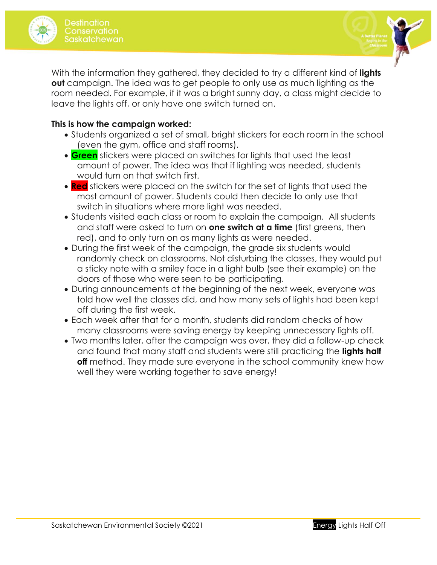



With the information they gathered, they decided to try a different kind of **lights out** campaign. The idea was to get people to only use as much lighting as the room needed. For example, if it was a bright sunny day, a class might decide to leave the lights off, or only have one switch turned on.

### **This is how the campaign worked:**

- Students organized a set of small, bright stickers for each room in the school (even the gym, office and staff rooms).
- **Green** stickers were placed on switches for lights that used the least amount of power. The idea was that if lighting was needed, students would turn on that switch first.
- **Red** stickers were placed on the switch for the set of lights that used the most amount of power. Students could then decide to only use that switch in situations where more light was needed.
- Students visited each class or room to explain the campaign. All students and staff were asked to turn on **one switch at a time** (first greens, then red), and to only turn on as many lights as were needed.
- During the first week of the campaign, the grade six students would randomly check on classrooms. Not disturbing the classes, they would put a sticky note with a smiley face in a light bulb (see their example) on the doors of those who were seen to be participating.
- During announcements at the beginning of the next week, everyone was told how well the classes did, and how many sets of lights had been kept off during the first week.
- Each week after that for a month, students did random checks of how many classrooms were saving energy by keeping unnecessary lights off.
- Two months later, after the campaign was over, they did a follow-up check and found that many staff and students were still practicing the **lights half off** method. They made sure everyone in the school community knew how well they were working together to save energy!